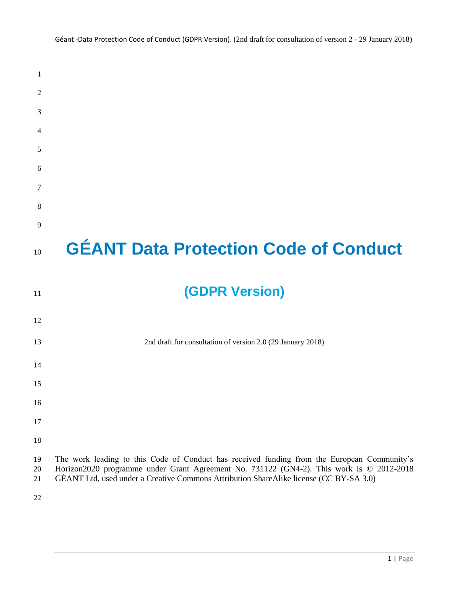| 1              |                                                                                                                                                                                                                                                                                   |
|----------------|-----------------------------------------------------------------------------------------------------------------------------------------------------------------------------------------------------------------------------------------------------------------------------------|
| 2              |                                                                                                                                                                                                                                                                                   |
| 3              |                                                                                                                                                                                                                                                                                   |
| 4              |                                                                                                                                                                                                                                                                                   |
| 5              |                                                                                                                                                                                                                                                                                   |
| 6              |                                                                                                                                                                                                                                                                                   |
| 7              |                                                                                                                                                                                                                                                                                   |
| 8              |                                                                                                                                                                                                                                                                                   |
| 9              |                                                                                                                                                                                                                                                                                   |
| 10             | <b>GÉANT Data Protection Code of Conduct</b>                                                                                                                                                                                                                                      |
| 11             | <b>(GDPR Version)</b>                                                                                                                                                                                                                                                             |
| 12             |                                                                                                                                                                                                                                                                                   |
| 13             | 2nd draft for consultation of version 2.0 (29 January 2018)                                                                                                                                                                                                                       |
| 14             |                                                                                                                                                                                                                                                                                   |
| 15             |                                                                                                                                                                                                                                                                                   |
| 16             |                                                                                                                                                                                                                                                                                   |
| 17             |                                                                                                                                                                                                                                                                                   |
| 18             |                                                                                                                                                                                                                                                                                   |
| 19<br>20<br>21 | The work leading to this Code of Conduct has received funding from the European Community's<br>Horizon2020 programme under Grant Agreement No. 731122 (GN4-2). This work is © 2012-2018<br>GÉANT Ltd, used under a Creative Commons Attribution ShareAlike license (CC BY-SA 3.0) |
| $22\,$         |                                                                                                                                                                                                                                                                                   |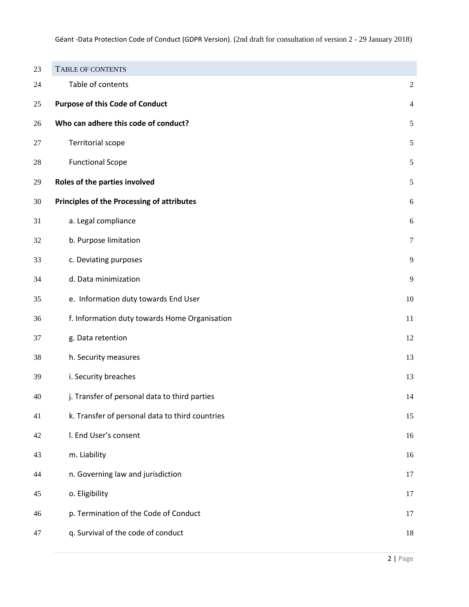<span id="page-1-0"></span>

| 23 | TABLE OF CONTENTS                                 |                |
|----|---------------------------------------------------|----------------|
| 24 | Table of contents                                 | $\sqrt{2}$     |
| 25 | <b>Purpose of this Code of Conduct</b>            | $\overline{4}$ |
| 26 | Who can adhere this code of conduct?              | $\sqrt{5}$     |
| 27 | <b>Territorial scope</b>                          | 5              |
| 28 | <b>Functional Scope</b>                           | $\sqrt{5}$     |
| 29 | Roles of the parties involved                     | $\sqrt{5}$     |
| 30 | <b>Principles of the Processing of attributes</b> | $\sqrt{6}$     |
| 31 | a. Legal compliance                               | 6              |
| 32 | b. Purpose limitation                             | $\tau$         |
| 33 | c. Deviating purposes                             | 9              |
| 34 | d. Data minimization                              | 9              |
| 35 | e. Information duty towards End User              | 10             |
| 36 | f. Information duty towards Home Organisation     | $11\,$         |
| 37 | g. Data retention                                 | 12             |
| 38 | h. Security measures                              | 13             |
| 39 | i. Security breaches                              | 13             |
| 40 | j. Transfer of personal data to third parties     | 14             |
| 41 | k. Transfer of personal data to third countries   | 15             |
| 42 | I. End User's consent                             | 16             |
| 43 | m. Liability                                      | 16             |
| 44 | n. Governing law and jurisdiction                 | 17             |
| 45 | o. Eligibility                                    | 17             |
| 46 | p. Termination of the Code of Conduct             | 17             |
| 47 | q. Survival of the code of conduct                | 18             |
|    |                                                   |                |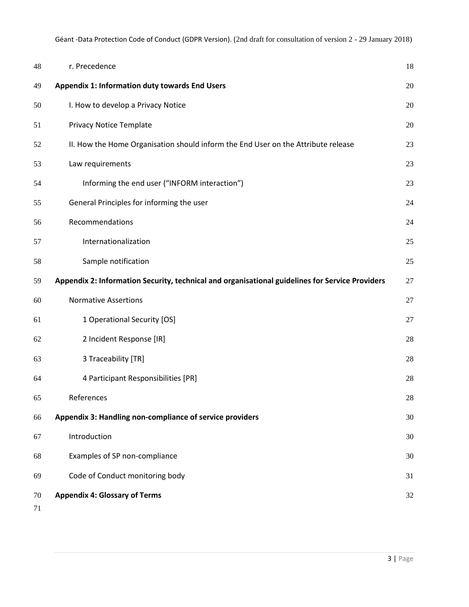| 48       | r. Precedence                                                                                   | 18 |
|----------|-------------------------------------------------------------------------------------------------|----|
| 49       | <b>Appendix 1: Information duty towards End Users</b>                                           | 20 |
| 50       | I. How to develop a Privacy Notice                                                              | 20 |
| 51       | <b>Privacy Notice Template</b>                                                                  | 20 |
| 52       | II. How the Home Organisation should inform the End User on the Attribute release               | 23 |
| 53       | Law requirements                                                                                | 23 |
| 54       | Informing the end user ("INFORM interaction")                                                   | 23 |
| 55       | General Principles for informing the user                                                       | 24 |
| 56       | Recommendations                                                                                 | 24 |
| 57       | Internationalization                                                                            | 25 |
| 58       | Sample notification                                                                             | 25 |
| 59       | Appendix 2: Information Security, technical and organisational guidelines for Service Providers | 27 |
| 60       | <b>Normative Assertions</b>                                                                     | 27 |
| 61       | 1 Operational Security [OS]                                                                     | 27 |
| 62       | 2 Incident Response [IR]                                                                        | 28 |
| 63       | 3 Traceability [TR]                                                                             | 28 |
| 64       | 4 Participant Responsibilities [PR]                                                             | 28 |
| 65       | References                                                                                      | 28 |
| 66       | Appendix 3: Handling non-compliance of service providers                                        | 30 |
| 67       | Introduction                                                                                    | 30 |
| 68       | Examples of SP non-compliance                                                                   | 30 |
| 69       | Code of Conduct monitoring body                                                                 | 31 |
| 70<br>71 | <b>Appendix 4: Glossary of Terms</b>                                                            | 32 |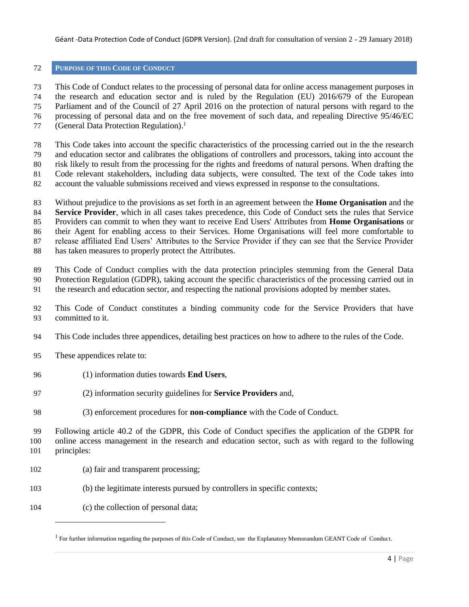# <span id="page-3-0"></span>**PURPOSE OF THIS CODE OF CONDUCT**

 This Code of Conduct relates to the processing of personal data for online access management purposes in the research and education sector and is ruled by the Regulation (EU) 2016/679 of the European Parliament and of the Council of 27 April 2016 on the protection of natural persons with regard to the processing of personal data and on the free movement of such data, and repealing Directive 95/46/EC (General Data Protection Regulation). 1 

 This Code takes into account the specific characteristics of the processing carried out in the the research and education sector and calibrates the obligations of controllers and processors, taking into account the risk likely to result from the processing for the rights and freedoms of natural persons. When drafting the Code relevant stakeholders, including data subjects, were consulted. The text of the Code takes into account the valuable submissions received and views expressed in response to the consultations.

 Without prejudice to the provisions as set forth in an agreement between the **Home Organisation** and the **Service Provider**, which in all cases takes precedence, this Code of Conduct sets the rules that Service Providers can commit to when they want to receive End Users' Attributes from **Home Organisations** or their Agent for enabling access to their Services. Home Organisations will feel more comfortable to release affiliated End Users' Attributes to the Service Provider if they can see that the Service Provider

has taken measures to properly protect the Attributes.

This Code of Conduct complies with the data protection principles stemming from the General Data

Protection Regulation (GDPR), taking account the specific characteristics of the processing carried out in

- the research and education sector, and respecting the national provisions adopted by member states.
- This Code of Conduct constitutes a binding community code for the Service Providers that have committed to it.
- This Code includes three appendices, detailing best practices on how to adhere to the rules of the Code.
- These appendices relate to:
- (1) information duties towards **End Users**,
- (2) information security guidelines for **Service Providers** and,
- (3) enforcement procedures for **non-compliance** with the Code of Conduct.

 Following article 40.2 of the GDPR, this Code of Conduct specifies the application of the GDPR for online access management in the research and education sector, such as with regard to the following principles:

- (a) fair and transparent processing;
- (b) the legitimate interests pursued by controllers in specific contexts;
- (c) the collection of personal data;

l

<sup>&</sup>lt;sup>1</sup> For further information regarding the purposes of this Code of Conduct, see the Explanatory Memorandum GEANT Code of Conduct.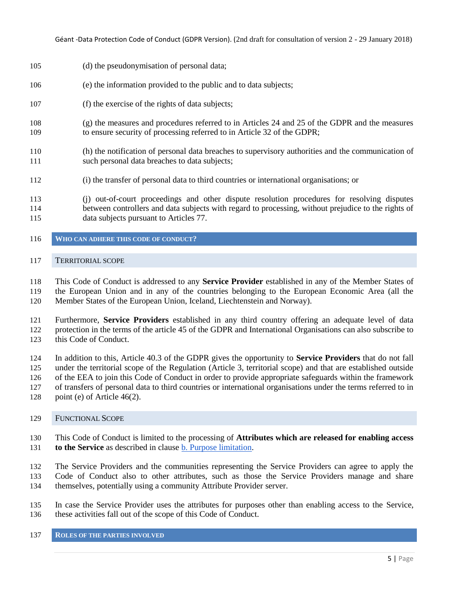- (d) the pseudonymisation of personal data;
- (e) the information provided to the public and to data subjects;
- (f) the exercise of the rights of data subjects;
- (g) the measures and procedures referred to in Articles 24 and 25 of the GDPR and the measures to ensure security of processing referred to in Article 32 of the GDPR;
- (h) the notification of personal data breaches to supervisory authorities and the communication of such personal data breaches to data subjects;
- (i) the transfer of personal data to third countries or international organisations; or
- (j) out-of-court proceedings and other dispute resolution procedures for resolving disputes between controllers and data subjects with regard to processing, without prejudice to the rights of data subjects pursuant to Articles 77.
- <span id="page-4-0"></span>**WHO CAN ADHERE THIS CODE OF CONDUCT?**

#### <span id="page-4-1"></span>TERRITORIAL SCOPE

 This Code of Conduct is addressed to any **Service Provider** established in any of the Member States of the European Union and in any of the countries belonging to the European Economic Area (all the Member States of the European Union, Iceland, Liechtenstein and Norway).

 Furthermore, **Service Providers** established in any third country offering an adequate level of data protection in the terms of the article 45 of the GDPR and International Organisations can also subscribe to this Code of Conduct.

 In addition to this, Article 40.3 of the GDPR gives the opportunity to **Service Providers** that do not fall under the territorial scope of the Regulation (Article 3, territorial scope) and that are established outside of the EEA to join this Code of Conduct in order to provide appropriate safeguards within the framework of transfers of personal data to third countries or international organisations under the terms referred to in

point (e) of Article 46(2).

#### <span id="page-4-2"></span>FUNCTIONAL SCOPE

 This Code of Conduct is limited to the processing of **Attributes which are released for enabling access to the Service** as described in clause [b. Purpose limitation.](#page-6-0)

 The Service Providers and the communities representing the Service Providers can agree to apply the Code of Conduct also to other attributes, such as those the Service Providers manage and share themselves, potentially using a community Attribute Provider server.

 In case the Service Provider uses the attributes for purposes other than enabling access to the Service, these activities fall out of the scope of this Code of Conduct.

#### <span id="page-4-3"></span>**ROLES OF THE PARTIES INVOLVED**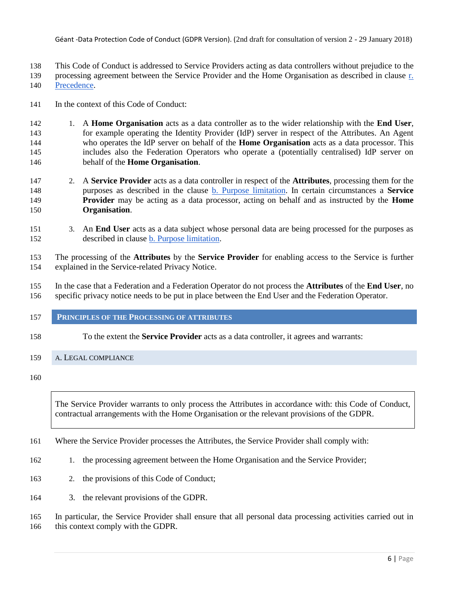This Code of Conduct is addressed to Service Providers acting as data controllers without prejudice to the

139 processing agreement between the Service Provider and the Home Organisation as described in clause r.

[Precedence.](#page-17-1)

In the context of this Code of Conduct:

- 1. A **Home Organisation** acts as a data controller as to the wider relationship with the **End User**, for example operating the Identity Provider (IdP) server in respect of the Attributes. An Agent who operates the IdP server on behalf of the **Home Organisation** acts as a data processor. This includes also the Federation Operators who operate a (potentially centralised) IdP server on behalf of the **Home Organisation**.
- 2. A **Service Provider** acts as a data controller in respect of the **Attributes**, processing them for the purposes as described in the clause [b. Purpose](#page-6-0) [limitation.](#page-6-0) In certain circumstances a **Service Provider** may be acting as a data processor, acting on behalf and as instructed by the **Home Organisation**.
- 3. An **End User** acts as a data subject whose personal data are being processed for the purposes as described in clause [b. Purpose limitation.](#page-6-0)

 The processing of the **Attributes** by the **Service Provider** for enabling access to the Service is further explained in the Service-related Privacy Notice.

 In the case that a Federation and a Federation Operator do not process the **Attributes** of the **End User**, no specific privacy notice needs to be put in place between the End User and the Federation Operator.

- <span id="page-5-0"></span>**PRINCIPLES OF THE PROCESSING OF ATTRIBUTES**
- To the extent the **Service Provider** acts as a data controller, it agrees and warrants:

# <span id="page-5-1"></span>A. LEGAL COMPLIANCE

The Service Provider warrants to only process the Attributes in accordance with: this Code of Conduct, contractual arrangements with the Home Organisation or the relevant provisions of the GDPR.

- Where the Service Provider processes the Attributes, the Service Provider shall comply with:
- 1. the processing agreement between the Home Organisation and the Service Provider;
- 2. the provisions of this Code of Conduct;
- 3. the relevant provisions of the GDPR.

 In particular, the Service Provider shall ensure that all personal data processing activities carried out in 166 this context comply with the GDPR.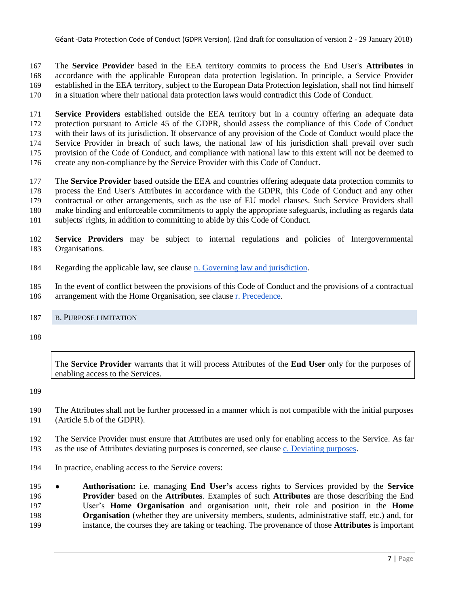The **Service Provider** based in the EEA territory commits to process the End User's **Attributes** in accordance with the applicable European data protection legislation. In principle, a Service Provider established in the EEA territory, subject to the European Data Protection legislation, shall not find himself in a situation where their national data protection laws would contradict this Code of Conduct.

 **Service Providers** established outside the EEA territory but in a country offering an adequate data protection pursuant to Article 45 of the GDPR, should assess the compliance of this Code of Conduct with their laws of its jurisdiction. If observance of any provision of the Code of Conduct would place the Service Provider in breach of such laws, the national law of his jurisdiction shall prevail over such provision of the Code of Conduct, and compliance with national law to this extent will not be deemed to create any non-compliance by the Service Provider with this Code of Conduct.

 The **Service Provider** based outside the EEA and countries offering adequate data protection commits to process the End User's Attributes in accordance with the GDPR, this Code of Conduct and any other contractual or other arrangements, such as the use of EU model clauses. Such Service Providers shall make binding and enforceable commitments to apply the appropriate safeguards, including as regards data subjects' rights, in addition to committing to abide by this Code of Conduct.

 **Service Providers** may be subject to internal regulations and policies of Intergovernmental Organisations.

Regarding the applicable law, see clause [n. Governing law and jurisdiction.](#page-16-0)

 In the event of conflict between the provisions of this Code of Conduct and the provisions of a contractual arrangement with the Home Organisation, see clause [r. Precedence.](#page-17-1)

# <span id="page-6-0"></span>B. PURPOSE LIMITATION

The **Service Provider** warrants that it will process Attributes of the **End User** only for the purposes of enabling access to the Services.

- The Attributes shall not be further processed in a manner which is not compatible with the initial purposes (Article 5.b of the GDPR).
- The Service Provider must ensure that Attributes are used only for enabling access to the Service. As far as the use of Attributes deviating purposes is concerned, see clause [c. Deviating purposes.](#page-8-0)
- In practice, enabling access to the Service covers:

 ● **Authorisation:** i.e. managing **End User's** access rights to Services provided by the **Service Provider** based on the **Attributes**. Examples of such **Attributes** are those describing the End User's **Home Organisation** and organisation unit, their role and position in the **Home Organisation** (whether they are university members, students, administrative staff, etc.) and, for instance, the courses they are taking or teaching. The provenance of those **Attributes** is important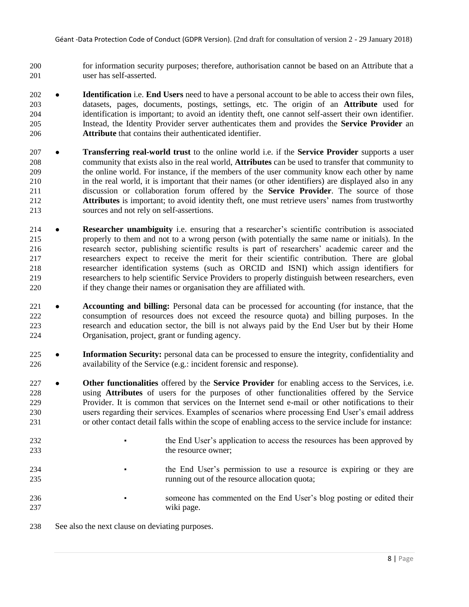- for information security purposes; therefore, authorisation cannot be based on an Attribute that a user has self-asserted.
- **Identification** i.e. **End Users** need to have a personal account to be able to access their own files, datasets, pages, documents, postings, settings, etc. The origin of an **Attribute** used for identification is important; to avoid an identity theft, one cannot self-assert their own identifier. Instead, the Identity Provider server authenticates them and provides the **Service Provider** an **Attribute** that contains their authenticated identifier.
- **Transferring real-world trust** to the online world i.e. if the **Service Provider** supports a user community that exists also in the real world, **Attributes** can be used to transfer that community to the online world. For instance, if the members of the user community know each other by name in the real world, it is important that their names (or other identifiers) are displayed also in any discussion or collaboration forum offered by the **Service Provider**. The source of those **Attributes** is important; to avoid identity theft, one must retrieve users' names from trustworthy sources and not rely on self-assertions.
- **Researcher unambiguity** i.e. ensuring that a researcher's scientific contribution is associated properly to them and not to a wrong person (with potentially the same name or initials). In the research sector, publishing scientific results is part of researchers' academic career and the researchers expect to receive the merit for their scientific contribution. There are global researcher identification systems (such as ORCID and ISNI) which assign identifiers for researchers to help scientific Service Providers to properly distinguish between researchers, even if they change their names or organisation they are affiliated with.
- **Accounting and billing:** Personal data can be processed for accounting (for instance, that the consumption of resources does not exceed the resource quota) and billing purposes. In the research and education sector, the bill is not always paid by the End User but by their Home Organisation, project, grant or funding agency.
- **Information Security:** personal data can be processed to ensure the integrity, confidentiality and availability of the Service (e.g.: incident forensic and response).
- **Other functionalities** offered by the **Service Provider** for enabling access to the Services, i.e. using **Attributes** of users for the purposes of other functionalities offered by the Service Provider. It is common that services on the Internet send e-mail or other notifications to their users regarding their services. Examples of scenarios where processing End User's email address or other contact detail falls within the scope of enabling access to the service include for instance:
- <sup>232</sup> **•** the End User's application to access the resources has been approved by the resource owner;
- <sup>234</sup>  **The End User's permission to use a resource is expiring or they are** running out of the resource allocation quota;
- **•** someone has commented on the End User's blog posting or edited their wiki page.
- See also the next clause on deviating purposes.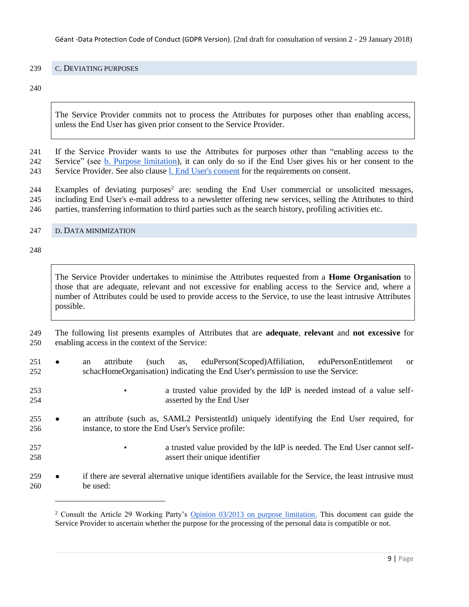### <span id="page-8-0"></span>C. DEVIATING PURPOSES

The Service Provider commits not to process the Attributes for purposes other than enabling access, unless the End User has given prior consent to the Service Provider.

 If the Service Provider wants to use the Attributes for purposes other than "enabling access to the Service" (see [b. Purpose limitation\)](#page-6-0), it can only do so if the End User gives his or her consent to the Service Provider. See also clause l. End User's consent for the requirements on consent.

244 Examples of deviating purposes<sup>2</sup> are: sending the End User commercial or unsolicited messages, including End User's e-mail address to a newsletter offering new services, selling the Attributes to third parties, transferring information to third parties such as the search history, profiling activities etc.

<span id="page-8-1"></span>D. DATA MINIMIZATION

l

The Service Provider undertakes to minimise the Attributes requested from a **Home Organisation** to those that are adequate, relevant and not excessive for enabling access to the Service and, where a number of Attributes could be used to provide access to the Service, to use the least intrusive Attributes possible.

 The following list presents examples of Attributes that are **adequate**, **relevant** and **not excessive** for enabling access in the context of the Service:

 ● an attribute (such as, eduPerson(Scoped)Affiliation, eduPersonEntitlement or schacHomeOrganisation) indicating the End User's permission to use the Service:

 ▪ a trusted value provided by the IdP is needed instead of a value self-asserted by the End User

- an attribute (such as, SAML2 PersistentId) uniquely identifying the End User required, for instance, to store the End User's Service profile:
- **•** a trusted value provided by the IdP is needed. The End User cannot self-assert their unique identifier
- if there are several alternative unique identifiers available for the Service, the least intrusive must be used:

<sup>&</sup>lt;sup>2</sup> Consult the Article 29 Working Party's [Opinion 03/2013 on purpose limitation.](http://ec.europa.eu/justice/data-protection/article-29/documentation/opinion-recommendation/files/2013/wp203_en.pdf) This document can guide the Service Provider to ascertain whether the purpose for the processing of the personal data is compatible or not.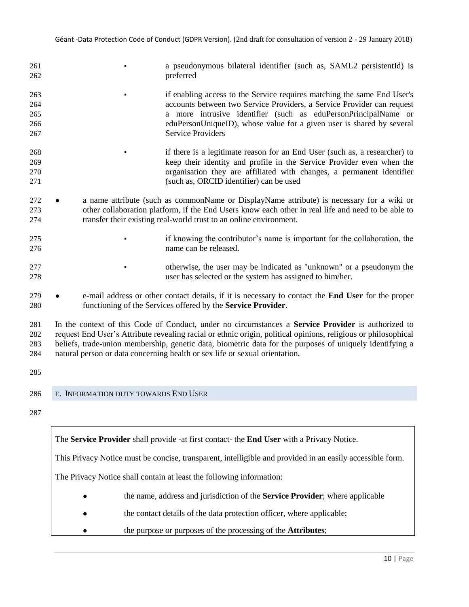| 261<br>262                      |                                      | a pseudonymous bilateral identifier (such as, SAML2 persistentId) is<br>preferred                                                                                                                                                                                                                                                                                                                                      |
|---------------------------------|--------------------------------------|------------------------------------------------------------------------------------------------------------------------------------------------------------------------------------------------------------------------------------------------------------------------------------------------------------------------------------------------------------------------------------------------------------------------|
| 263<br>264<br>265<br>266<br>267 |                                      | if enabling access to the Service requires matching the same End User's<br>accounts between two Service Providers, a Service Provider can request<br>a more intrusive identifier (such as eduPersonPrincipalName or<br>eduPersonUniqueID), whose value for a given user is shared by several<br><b>Service Providers</b>                                                                                               |
| 268<br>269<br>270<br>271        |                                      | if there is a legitimate reason for an End User (such as, a researcher) to<br>keep their identity and profile in the Service Provider even when the<br>organisation they are affiliated with changes, a permanent identifier<br>(such as, ORCID identifier) can be used                                                                                                                                                |
| 272<br>273<br>274               |                                      | a name attribute (such as commonName or DisplayName attribute) is necessary for a wiki or<br>other collaboration platform, if the End Users know each other in real life and need to be able to<br>transfer their existing real-world trust to an online environment.                                                                                                                                                  |
| 275<br>276                      |                                      | if knowing the contributor's name is important for the collaboration, the<br>name can be released.                                                                                                                                                                                                                                                                                                                     |
| 277<br>278                      |                                      | otherwise, the user may be indicated as "unknown" or a pseudonym the<br>user has selected or the system has assigned to him/her.                                                                                                                                                                                                                                                                                       |
| 279<br>280                      |                                      | e-mail address or other contact details, if it is necessary to contact the <b>End User</b> for the proper<br>functioning of the Services offered by the Service Provider.                                                                                                                                                                                                                                              |
| 281<br>282<br>283<br>284        |                                      | In the context of this Code of Conduct, under no circumstances a <b>Service Provider</b> is authorized to<br>request End User's Attribute revealing racial or ethnic origin, political opinions, religious or philosophical<br>beliefs, trade-union membership, genetic data, biometric data for the purposes of uniquely identifying a<br>natural person or data concerning health or sex life or sexual orientation. |
| 285                             |                                      |                                                                                                                                                                                                                                                                                                                                                                                                                        |
| 286                             | E. INFORMATION DUTY TOWARDS END USER |                                                                                                                                                                                                                                                                                                                                                                                                                        |
| 287                             |                                      |                                                                                                                                                                                                                                                                                                                                                                                                                        |
|                                 |                                      |                                                                                                                                                                                                                                                                                                                                                                                                                        |

<span id="page-9-0"></span>The **Service Provider** shall provide -at first contact- the **End User** with a Privacy Notice.

This Privacy Notice must be concise, transparent, intelligible and provided in an easily accessible form.

The Privacy Notice shall contain at least the following information:

- the name, address and jurisdiction of the **Service Provider**; where applicable
- the contact details of the data protection officer, where applicable;
- the purpose or purposes of the processing of the **Attributes**;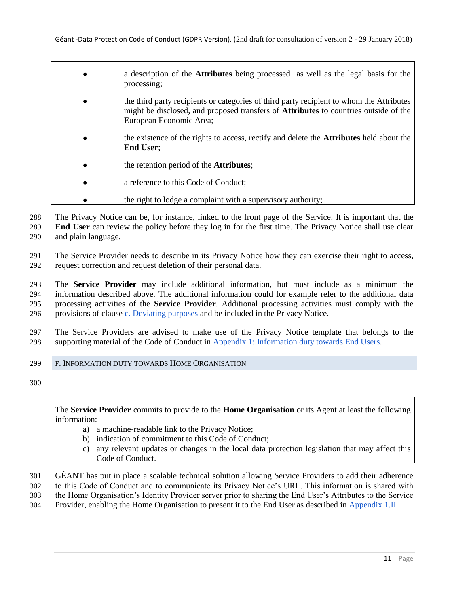● a description of the **Attributes** being processed as well as the legal basis for the processing; the third party recipients or categories of third party recipient to whom the Attributes might be disclosed, and proposed transfers of **Attributes** to countries outside of the European Economic Area; ● the existence of the rights to access, rectify and delete the **Attributes** held about the **End User**; ● the retention period of the **Attributes**; a reference to this Code of Conduct: • the right to lodge a complaint with a supervisory authority;

288 The Privacy Notice can be, for instance, linked to the front page of the Service. It is important that the 289 **End User** can review the policy before they log in for the first time. The Privacy Notice shall use clear 290 and plain language.

291 The Service Provider needs to describe in its Privacy Notice how they can exercise their right to access, 292 request correction and request deletion of their personal data.

 The **Service Provider** may include additional information, but must include as a minimum the information described above. The additional information could for example refer to the additional data processing activities of the **Service Provider**. Additional processing activities must comply with the provisions of clause [c. Deviating purposes](#page-8-0) and be included in the Privacy Notice.

297 The Service Providers are advised to make use of the Privacy Notice template that belongs to the 298 supporting material of the Code of Conduct in [Appendix 1: Information duty towards End Users.](#page-19-0)

# <span id="page-10-0"></span>299 F. INFORMATION DUTY TOWARDS HOME ORGANISATION

300

The **Service Provider** commits to provide to the **Home Organisation** or its Agent at least the following information:

- a) a machine-readable link to the Privacy Notice;
- b) indication of commitment to this Code of Conduct;
- c) any relevant updates or changes in the local data protection legislation that may affect this Code of Conduct.
- 301 GÉANT has put in place a scalable technical solution allowing Service Providers to add their adherence
- 302 to this Code of Conduct and to communicate its Privacy Notice's URL. This information is shared with
- 303 the Home Organisation's Identity Provider server prior to sharing the End User's Attributes to the Service
- 304 Provider, enabling the Home Organisation to present it to the End User as described in [Appendix 1.II.](#page-19-0)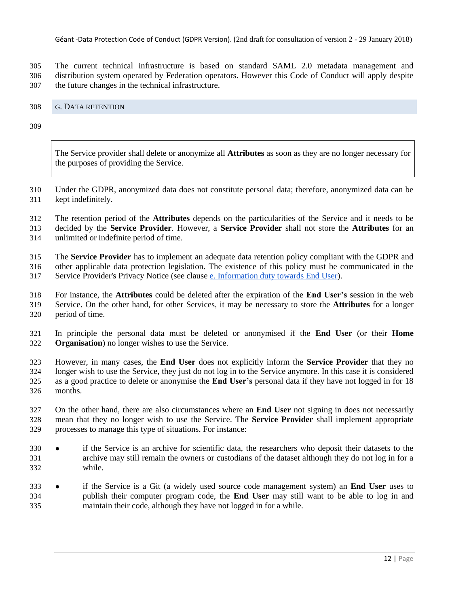Géant -Data Protection Code of Conduct (GDPR Version). (2nd draft for consultation of version 2 - 29 January 2018)

 The current technical infrastructure is based on standard SAML 2.0 metadata management and distribution system operated by Federation operators. However this Code of Conduct will apply despite the future changes in the technical infrastructure.

### <span id="page-11-0"></span>G. DATA RETENTION

The Service provider shall delete or anonymize all **Attributes** as soon as they are no longer necessary for the purposes of providing the Service.

 Under the GDPR, anonymized data does not constitute personal data; therefore, anonymized data can be kept indefinitely.

The retention period of the **Attributes** depends on the particularities of the Service and it needs to be

decided by the **Service Provider**. However, a **Service Provider** shall not store the **Attributes** for an

unlimited or indefinite period of time.

 The **Service Provider** has to implement an adequate data retention policy compliant with the GDPR and other applicable data protection legislation. The existence of this policy must be communicated in the Service Provider's Privacy Notice (see clause e. Information duty towards End User).

 For instance, the **Attributes** could be deleted after the expiration of the **End User's** session in the web Service. On the other hand, for other Services, it may be necessary to store the **Attributes** for a longer period of time.

 In principle the personal data must be deleted or anonymised if the **End User** (or their **Home Organisation**) no longer wishes to use the Service.

 However, in many cases, the **End User** does not explicitly inform the **Service Provider** that they no longer wish to use the Service, they just do not log in to the Service anymore. In this case it is considered as a good practice to delete or anonymise the **End User's** personal data if they have not logged in for 18 months.

 On the other hand, there are also circumstances where an **End User** not signing in does not necessarily mean that they no longer wish to use the Service. The **Service Provider** shall implement appropriate processes to manage this type of situations. For instance:

- if the Service is an archive for scientific data, the researchers who deposit their datasets to the archive may still remain the owners or custodians of the dataset although they do not log in for a while.
- if the Service is a Git (a widely used source code management system) an **End User** uses to publish their computer program code, the **End User** may still want to be able to log in and maintain their code, although they have not logged in for a while.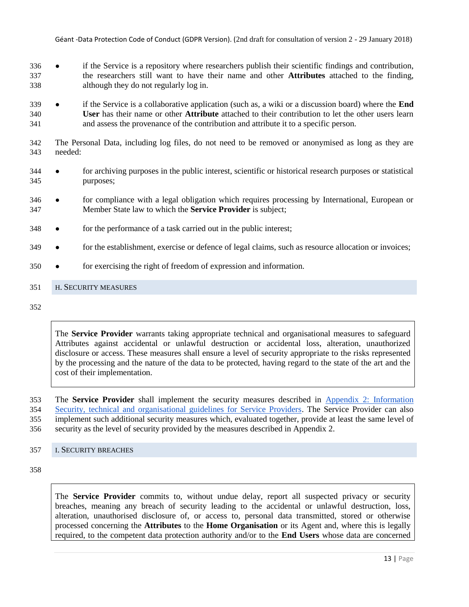- if the Service is a repository where researchers publish their scientific findings and contribution, the researchers still want to have their name and other **Attributes** attached to the finding, although they do not regularly log in.
- if the Service is a collaborative application (such as, a wiki or a discussion board) where the **End User** has their name or other **Attribute** attached to their contribution to let the other users learn and assess the provenance of the contribution and attribute it to a specific person.
- The Personal Data, including log files, do not need to be removed or anonymised as long as they are needed:
- for archiving purposes in the public interest, scientific or historical research purposes or statistical purposes;
- for compliance with a legal obligation which requires processing by International, European or Member State law to which the **Service Provider** is subject;
- for the performance of a task carried out in the public interest;
- 349 for the establishment, exercise or defence of legal claims, such as resource allocation or invoices;
- for exercising the right of freedom of expression and information.

# <span id="page-12-0"></span>H. SECURITY MEASURES

The **Service Provider** warrants taking appropriate technical and organisational measures to safeguard Attributes against accidental or unlawful destruction or accidental loss, alteration, unauthorized disclosure or access. These measures shall ensure a level of security appropriate to the risks represented by the processing and the nature of the data to be protected, having regard to the state of the art and the cost of their implementation.

 The **Service Provider** shall implement the security measures described in [Appendix 2: Information](#page-26-0)  [Security, technical and organisational guidelines for Service Providers.](#page-26-0) The Service Provider can also implement such additional security measures which, evaluated together, provide at least the same level of security as the level of security provided by the measures described in Appendix 2.

#### <span id="page-12-1"></span>I. SECURITY BREACHES

The **Service Provider** commits to, without undue delay, report all suspected privacy or security breaches, meaning any breach of security leading to the accidental or unlawful destruction, loss, alteration, unauthorised disclosure of, or access to, personal data transmitted, stored or otherwise processed concerning the **Attributes** to the **Home Organisation** or its Agent and, where this is legally required, to the competent data protection authority and/or to the **End Users** whose data are concerned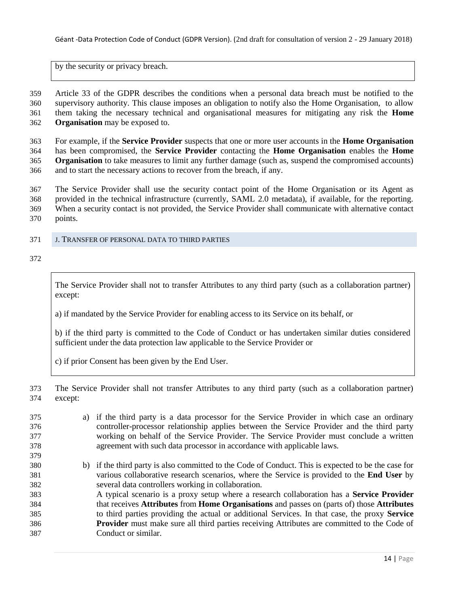by the security or privacy breach.

 Article 33 of the GDPR describes the conditions when a personal data breach must be notified to the supervisory authority. This clause imposes an obligation to notify also the Home Organisation, to allow them taking the necessary technical and organisational measures for mitigating any risk the **Home Organisation** may be exposed to.

 For example, if the **Service Provider** suspects that one or more user accounts in the **Home Organisation** has been compromised, the **Service Provider** contacting the **Home Organisation** enables the **Home Organisation** to take measures to limit any further damage (such as, suspend the compromised accounts) and to start the necessary actions to recover from the breach, if any.

 The Service Provider shall use the security contact point of the Home Organisation or its Agent as provided in the technical infrastructure (currently, SAML 2.0 metadata), if available, for the reporting. When a security contact is not provided, the Service Provider shall communicate with alternative contact points.

<span id="page-13-0"></span>J. TRANSFER OF PERSONAL DATA TO THIRD PARTIES

The Service Provider shall not to transfer Attributes to any third party (such as a collaboration partner) except:

a) if mandated by the Service Provider for enabling access to its Service on its behalf, or

b) if the third party is committed to the Code of Conduct or has undertaken similar duties considered sufficient under the data protection law applicable to the Service Provider or

c) if prior Consent has been given by the End User.

 The Service Provider shall not transfer Attributes to any third party (such as a collaboration partner) except:

 a) if the third party is a data processor for the Service Provider in which case an ordinary controller-processor relationship applies between the Service Provider and the third party working on behalf of the Service Provider. The Service Provider must conclude a written agreement with such data processor in accordance with applicable laws. b) if the third party is also committed to the Code of Conduct. This is expected to be the case for various collaborative research scenarios, where the Service is provided to the **End User** by several data controllers working in collaboration. A typical scenario is a proxy setup where a research collaboration has a **Service Provider** that receives **Attributes** from **Home Organisations** and passes on (parts of) those **Attributes** to third parties providing the actual or additional Services. In that case, the proxy **Service Provider** must make sure all third parties receiving Attributes are committed to the Code of Conduct or similar.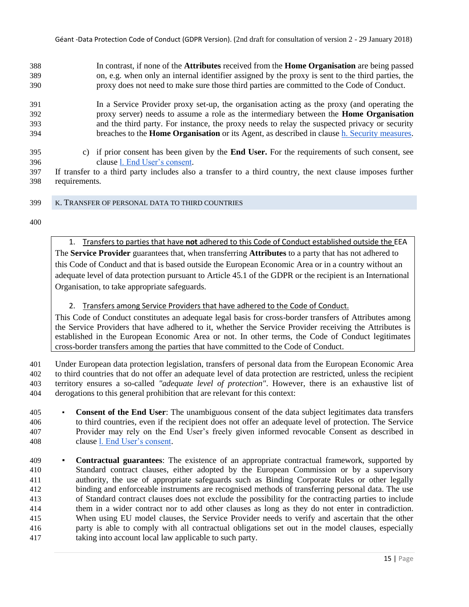In contrast, if none of the **Attributes** received from the **Home Organisation** are being passed on, e.g. when only an internal identifier assigned by the proxy is sent to the third parties, the proxy does not need to make sure those third parties are committed to the Code of Conduct.

 In a Service Provider proxy set-up, the organisation acting as the proxy (and operating the proxy server) needs to assume a role as the intermediary between the **Home Organisation** and the third party. For instance, the proxy needs to relay the suspected privacy or security breaches to the **Home Organisation** or its Agent, as described in clause [h. Security measures.](#page-12-0)

- c) if prior consent has been given by the **End User.** For the requirements of such consent, see clause l. End User's consent.
- If transfer to a third party includes also a transfer to a third country, the next clause imposes further requirements.
- <span id="page-14-0"></span>K. TRANSFER OF PERSONAL DATA TO THIRD COUNTRIES

1. Transfers to parties that have **not** adhered to this Code of Conduct established outside the EEA The **Service Provider** guarantees that, when transferring **Attributes** to a party that has not adhered to this Code of Conduct and that is based outside the European Economic Area or in a country without an adequate level of data protection pursuant to Article 45.1 of the GDPR or the recipient is an International Organisation, to take appropriate safeguards.

2. Transfers among Service Providers that have adhered to the Code of Conduct.

This Code of Conduct constitutes an adequate legal basis for cross-border transfers of Attributes among the Service Providers that have adhered to it, whether the Service Provider receiving the Attributes is established in the European Economic Area or not. In other terms, the Code of Conduct legitimates cross-border transfers among the parties that have committed to the Code of Conduct.

 Under European data protection legislation, transfers of personal data from the European Economic Area to third countries that do not offer an adequate level of data protection are restricted, unless the recipient territory ensures a so-called *"adequate level of protection"*. However, there is an exhaustive list of derogations to this general prohibition that are relevant for this context:

- **Consent of the End User**: The unambiguous consent of the data subject legitimates data transfers to third countries, even if the recipient does not offer an adequate level of protection. The Service Provider may rely on the End User's freely given informed revocable Consent as described in clause l. End User's consent.
- **Contractual guarantees**: The existence of an appropriate contractual framework, supported by Standard contract clauses, either adopted by the European Commission or by a supervisory authority, the use of appropriate safeguards such as Binding Corporate Rules or other legally binding and enforceable instruments are recognised methods of transferring personal data. The use of Standard contract clauses does not exclude the possibility for the contracting parties to include them in a wider contract nor to add other clauses as long as they do not enter in contradiction. When using EU model clauses, the Service Provider needs to verify and ascertain that the other party is able to comply with all contractual obligations set out in the model clauses, especially taking into account local law applicable to such party.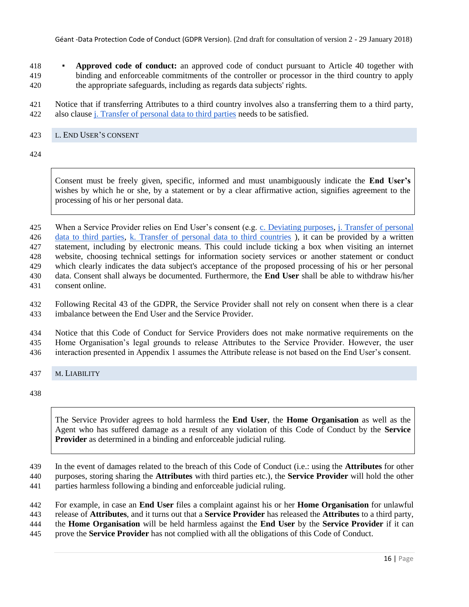Géant -Data Protection Code of Conduct (GDPR Version). (2nd draft for consultation of version 2 - 29 January 2018)

- **Approved code of conduct:** an approved code of conduct pursuant to Article 40 together with binding and enforceable commitments of the controller or processor in the third country to apply the appropriate safeguards, including as regards data subjects' rights.
- Notice that if transferring Attributes to a third country involves also a transferring them to a third party, also clause j. Transfer of personal data to third parties needs to be satisfied.

### <span id="page-15-0"></span>L. END USER'S CONSENT

Consent must be freely given, specific, informed and must unambiguously indicate the **End User's** wishes by which he or she, by a statement or by a clear affirmative action, signifies agreement to the processing of his or her personal data.

425 When a Service Provider relies on End User's consent (e.g. [c. Deviating purposes,](#page-8-0) j. Transfer of personal

 data to third parties, [k. Transfer of personal data to third countries](#page-14-0) ), it can be provided by a written statement, including by electronic means. This could include ticking a box when visiting an internet

website, choosing technical settings for information society services or another statement or conduct

which clearly indicates the data subject's acceptance of the proposed processing of his or her personal

- data. Consent shall always be documented. Furthermore, the **End User** shall be able to withdraw his/her
- consent online.

 Following Recital 43 of the GDPR, the Service Provider shall not rely on consent when there is a clear imbalance between the End User and the Service Provider.

 Notice that this Code of Conduct for Service Providers does not make normative requirements on the Home Organisation's legal grounds to release Attributes to the Service Provider. However, the user interaction presented in Appendix 1 assumes the Attribute release is not based on the End User's consent.

<span id="page-15-1"></span>M. LIABILITY

The Service Provider agrees to hold harmless the **End User**, the **Home Organisation** as well as the Agent who has suffered damage as a result of any violation of this Code of Conduct by the **Service Provider** as determined in a binding and enforceable judicial ruling.

- In the event of damages related to the breach of this Code of Conduct (i.e.: using the **Attributes** for other
- purposes, storing sharing the **Attributes** with third parties etc.), the **Service Provider** will hold the other
- parties harmless following a binding and enforceable judicial ruling.

For example, in case an **End User** files a complaint against his or her **Home Organisation** for unlawful

- release of **Attributes**, and it turns out that a **Service Provider** has released the **Attributes** to a third party,
- the **Home Organisation** will be held harmless against the **End User** by the **Service Provider** if it can
- prove the **Service Provider** has not complied with all the obligations of this Code of Conduct.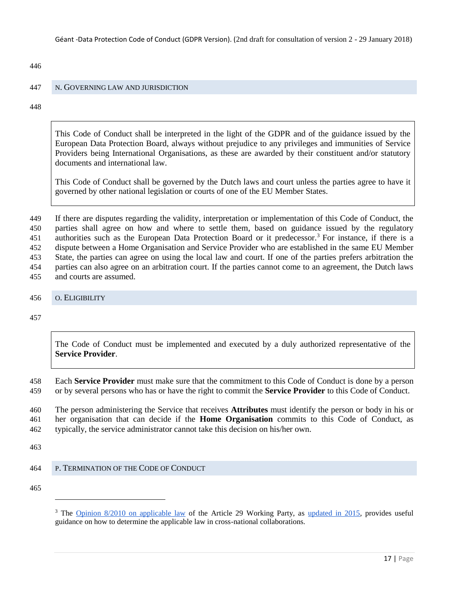446

### <span id="page-16-0"></span>447 N. GOVERNING LAW AND JURISDICTION

448

This Code of Conduct shall be interpreted in the light of the GDPR and of the guidance issued by the European Data Protection Board, always without prejudice to any privileges and immunities of Service Providers being International Organisations, as these are awarded by their constituent and/or statutory documents and international law.

This Code of Conduct shall be governed by the Dutch laws and court unless the parties agree to have it governed by other national legislation or courts of one of the EU Member States.

 If there are disputes regarding the validity, interpretation or implementation of this Code of Conduct, the parties shall agree on how and where to settle them, based on guidance issued by the regulatory 451 authorities such as the European Data Protection Board or it predecessor.<sup>3</sup> For instance, if there is a dispute between a Home Organisation and Service Provider who are established in the same EU Member State, the parties can agree on using the local law and court. If one of the parties prefers arbitration the parties can also agree on an arbitration court. If the parties cannot come to an agreement, the Dutch laws and courts are assumed.

#### <span id="page-16-1"></span>456 O. ELIGIBILITY

457

The Code of Conduct must be implemented and executed by a duly authorized representative of the **Service Provider**.

458 Each **Service Provider** must make sure that the commitment to this Code of Conduct is done by a person 459 or by several persons who has or have the right to commit the **Service Provider** to this Code of Conduct.

460 The person administering the Service that receives **Attributes** must identify the person or body in his or 461 her organisation that can decide if the **Home Organisation** commits to this Code of Conduct, as 462 typically, the service administrator cannot take this decision on his/her own.

463

# <span id="page-16-2"></span>464 P. TERMINATION OF THE CODE OF CONDUCT

465

l

<sup>&</sup>lt;sup>3</sup> The [Opinion 8/2010 on applicable law](http://ec.europa.eu/justice/data-protection/article-29/documentation/opinion-recommendation/files/2010/wp179_en.pdf) of the Article 29 Working Party, a[s](http://ec.europa.eu/justice/data-protection/article-29/documentation/opinion-recommendation/files/2015/wp179_en_update.pdf) [updated in 2015,](http://ec.europa.eu/justice/data-protection/article-29/documentation/opinion-recommendation/files/2015/wp179_en_update.pdf) provides useful guidance on how to determine the applicable law in cross-national collaborations.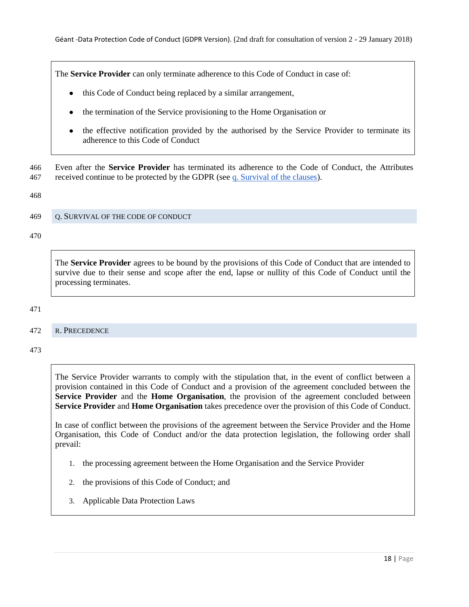The **Service Provider** can only terminate adherence to this Code of Conduct in case of:

- this Code of Conduct being replaced by a similar arrangement,
- the termination of the Service provisioning to the Home Organisation or
- the effective notification provided by the authorised by the Service Provider to terminate its adherence to this Code of Conduct

466 Even after the **Service Provider** has terminated its adherence to the Code of Conduct, the Attributes 467 received continue to be protected by the GDPR (see [q. Survival of the clauses\)](#page-17-0).

468

### <span id="page-17-0"></span>469 Q. SURVIVAL OF THE CODE OF CONDUCT

470

The **Service Provider** agrees to be bound by the provisions of this Code of Conduct that are intended to survive due to their sense and scope after the end, lapse or nullity of this Code of Conduct until the processing terminates.

471

# <span id="page-17-1"></span>472 R. PRECEDENCE

473

The Service Provider warrants to comply with the stipulation that, in the event of conflict between a provision contained in this Code of Conduct and a provision of the agreement concluded between the **Service Provider** and the **Home Organisation**, the provision of the agreement concluded between **Service Provider** and **Home Organisation** takes precedence over the provision of this Code of Conduct.

In case of conflict between the provisions of the agreement between the Service Provider and the Home Organisation, this Code of Conduct and/or the data protection legislation, the following order shall prevail:

- 1. the processing agreement between the Home Organisation and the Service Provider
- 2. the provisions of this Code of Conduct; and
- 3. Applicable Data Protection Laws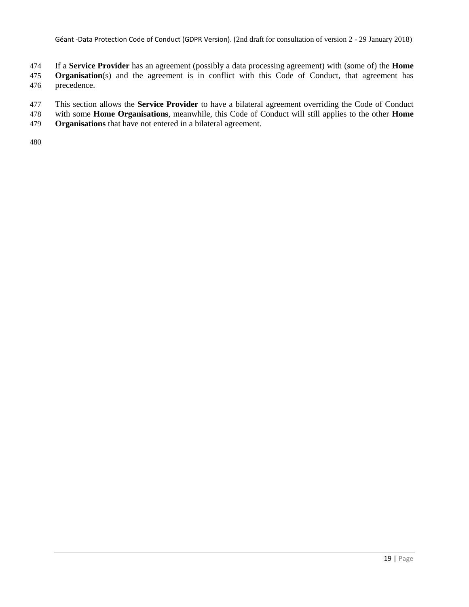If a **Service Provider** has an agreement (possibly a data processing agreement) with (some of) the **Home Organisation**(s) and the agreement is in conflict with this Code of Conduct, that agreement has precedence.

- This section allows the **Service Provider** to have a bilateral agreement overriding the Code of Conduct
- with some **Home Organisations**, meanwhile, this Code of Conduct will still applies to the other **Home**
- **Organisations** that have not entered in a bilateral agreement.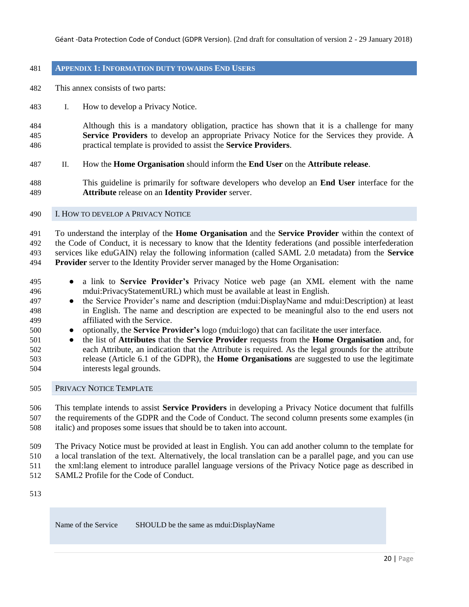#### <span id="page-19-0"></span>**APPENDIX 1: INFORMATION DUTY TOWARDS END USERS**

- This annex consists of two parts:
- I. How to develop a Privacy Notice.
- Although this is a mandatory obligation, practice has shown that it is a challenge for many **Service Providers** to develop an appropriate Privacy Notice for the Services they provide. A practical template is provided to assist the **Service Providers**.
- II. How the **Home Organisation** should inform the **End User** on the **Attribute release**.
- This guideline is primarily for software developers who develop an **End User** interface for the **Attribute** release on an **Identity Provider** server.
- <span id="page-19-1"></span>I. HOW TO DEVELOP A PRIVACY NOTICE

 To understand the interplay of the **Home Organisation** and the **Service Provider** within the context of the Code of Conduct, it is necessary to know that the Identity federations (and possible interfederation services like eduGAIN) relay the following information (called SAML 2.0 metadata) from the **Service Provider** server to the Identity Provider server managed by the Home Organisation:

- a link to **Service Provider's** Privacy Notice web page (an XML element with the name mdui:PrivacyStatementURL) which must be available at least in English.
- the Service Provider's name and description (mdui:DisplayName and mdui:Description) at least in English. The name and description are expected to be meaningful also to the end users not affiliated with the Service.
- optionally, the **Service Provider's** logo (mdui:logo) that can facilitate the user interface.
- the list of **Attributes** that the **Service Provider** requests from the **Home Organisation** and, for each Attribute, an indication that the Attribute is required. As the legal grounds for the attribute release (Article 6.1 of the GDPR), the **Home Organisations** are suggested to use the legitimate interests legal grounds.
- <span id="page-19-2"></span>PRIVACY NOTICE TEMPLATE

 This template intends to assist **Service Providers** in developing a Privacy Notice document that fulfills the requirements of the GDPR and the Code of Conduct. The second column presents some examples (in italic) and proposes some issues that should be to taken into account.

The Privacy Notice must be provided at least in English. You can add another column to the template for

a local translation of the text. Alternatively, the local translation can be a parallel page, and you can use

- the xml:lang element to introduce parallel language versions of the Privacy Notice page as described in
- SAML2 Profile for the Code of Conduct.

Name of the Service SHOULD be the same as mdui:DisplayName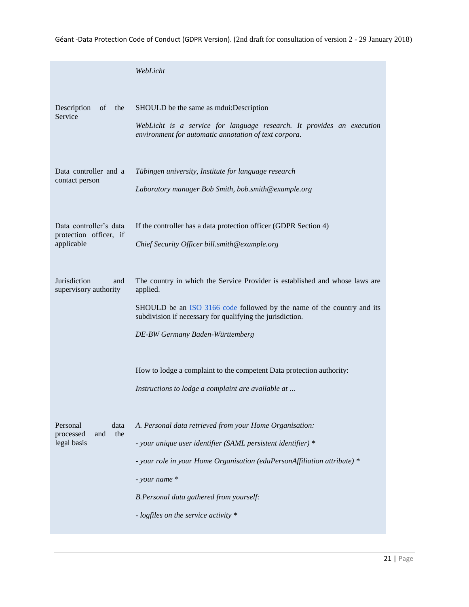Géant -Data Protection Code of Conduct (GDPR Version). (2nd draft for consultation of version 2 - 29 January 2018)

|                                                                | WebLicht                                                                                                                                                                                                                                                                                                |
|----------------------------------------------------------------|---------------------------------------------------------------------------------------------------------------------------------------------------------------------------------------------------------------------------------------------------------------------------------------------------------|
| Description<br>of<br>the<br>Service                            | SHOULD be the same as mdui: Description<br>WebLicht is a service for language research. It provides an execution<br>environment for automatic annotation of text corpora.                                                                                                                               |
| Data controller and a<br>contact person                        | Tübingen university, Institute for language research<br>Laboratory manager Bob Smith, bob.smith@example.org                                                                                                                                                                                             |
| Data controller's data<br>protection officer, if<br>applicable | If the controller has a data protection officer (GDPR Section 4)<br>Chief Security Officer bill.smith@example.org                                                                                                                                                                                       |
| Jurisdiction<br>and<br>supervisory authority                   | The country in which the Service Provider is established and whose laws are<br>applied.<br>SHOULD be an ISO 3166 code followed by the name of the country and its<br>subdivision if necessary for qualifying the jurisdiction.<br>DE-BW Germany Baden-Württemberg                                       |
|                                                                | How to lodge a complaint to the competent Data protection authority:<br>Instructions to lodge a complaint are available at                                                                                                                                                                              |
| Personal<br>data<br>the<br>and<br>processed<br>legal basis     | A. Personal data retrieved from your Home Organisation:<br>- your unique user identifier (SAML persistent identifier) *<br>- your role in your Home Organisation (eduPersonAffiliation attribute) *<br>- your name *<br>B.Personal data gathered from yourself:<br>- logfiles on the service activity * |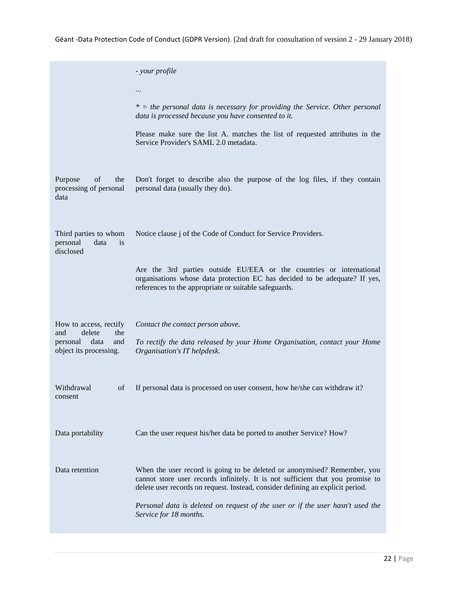Géant -Data Protection Code of Conduct (GDPR Version). (2nd draft for consultation of version 2 - 29 January 2018)

|                                                                     | - your profile                                                                                                                                                                                                                               |
|---------------------------------------------------------------------|----------------------------------------------------------------------------------------------------------------------------------------------------------------------------------------------------------------------------------------------|
|                                                                     |                                                                                                                                                                                                                                              |
|                                                                     | $*$ = the personal data is necessary for providing the Service. Other personal<br>data is processed because you have consented to it.                                                                                                        |
|                                                                     | Please make sure the list A. matches the list of requested attributes in the<br>Service Provider's SAML 2.0 metadata.                                                                                                                        |
| Purpose<br>οf<br>the<br>processing of personal<br>data              | Don't forget to describe also the purpose of the log files, if they contain<br>personal data (usually they do).                                                                                                                              |
| Third parties to whom<br>data<br>personal<br><i>is</i><br>disclosed | Notice clause j of the Code of Conduct for Service Providers.                                                                                                                                                                                |
|                                                                     | Are the 3rd parties outside EU/EEA or the countries or international<br>organisations whose data protection EC has decided to be adequate? If yes,<br>references to the appropriate or suitable safeguards.                                  |
| How to access, rectify<br>delete<br>the<br>and                      | Contact the contact person above.                                                                                                                                                                                                            |
| data<br>and<br>personal<br>object its processing.                   | To rectify the data released by your Home Organisation, contact your Home<br>Organisation's IT helpdesk.                                                                                                                                     |
| Withdrawal<br>οf<br>consent                                         | If personal data is processed on user consent, how he/she can withdraw it?                                                                                                                                                                   |
| Data portability                                                    | Can the user request his/her data be ported to another Service? How?                                                                                                                                                                         |
| Data retention                                                      | When the user record is going to be deleted or anonymised? Remember, you<br>cannot store user records infinitely. It is not sufficient that you promise to<br>delete user records on request. Instead, consider defining an explicit period. |
|                                                                     | Personal data is deleted on request of the user or if the user hasn't used the<br>Service for 18 months.                                                                                                                                     |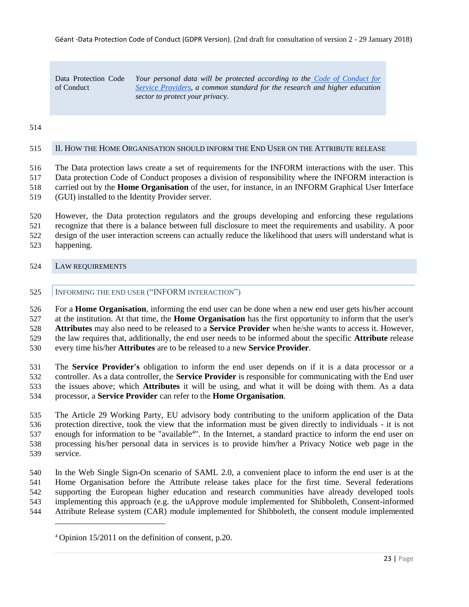Data Protection Code of Conduct

*Your personal data will be protected according to the [Code of Conduct for](http://www.geant.net/uri/dataprotection-code-of-conduct/v1)  [Service Providers,](http://www.geant.net/uri/dataprotection-code-of-conduct/v1) a common standard for the research and higher education sector to protect your privac*y.

### 

### <span id="page-22-0"></span>II. HOW THE HOME ORGANISATION SHOULD INFORM THE END USER ON THE ATTRIBUTE RELEASE

 The Data protection laws create a set of requirements for the INFORM interactions with the user. This Data protection Code of Conduct proposes a division of responsibility where the INFORM interaction is carried out by the **Home Organisation** of the user, for instance, in an INFORM Graphical User Interface (GUI) installed to the Identity Provider server.

 However, the Data protection regulators and the groups developing and enforcing these regulations recognize that there is a balance between full disclosure to meet the requirements and usability. A poor design of the user interaction screens can actually reduce the likelihood that users will understand what is happening.

### <span id="page-22-2"></span><span id="page-22-1"></span>LAW REQUIREMENTS

l

# 525 | INFORMING THE END USER ("INFORM INTERACTION")

 For a **Home Organisation**, informing the end user can be done when a new end user gets his/her account at the institution. At that time, the **Home Organisation** has the first opportunity to inform that the user's **Attributes** may also need to be released to a **Service Provider** when he/she wants to access it. However, the law requires that, additionally, the end user needs to be informed about the specific **Attribute** release every time his/her **Attributes** are to be released to a new **Service Provider**.

 The **Service Provider's** obligation to inform the end user depends on if it is a data processor or a controller. As a data controller, the **Service Provider** is responsible for communicating with the End user the issues above; which **Attributes** it will be using, and what it will be doing with them. As a data processor, a **Service Provider** can refer to the **Home Organisation**.

 The Article 29 Working Party, EU advisory body contributing to the uniform application of the Data protection directive, took the view that the information must be given directly to individuals - it is not 537 enough for information to be "available<sup>4</sup>". In the Internet, a standard practice to inform the end user on processing his/her personal data in services is to provide him/her a Privacy Notice web page in the service.

 In the Web Single Sign-On scenario of SAML 2.0, a convenient place to inform the end user is at the Home Organisation before the Attribute release takes place for the first time. Several federations supporting the European higher education and research communities have already developed tools implementing this approach (e.g. the uApprove module implemented for Shibboleth, Consent-informed Attribute Release system (CAR) module implemented for Shibboleth, the consent module implemented

Opinion 15/2011 on the definition of consent, p.20.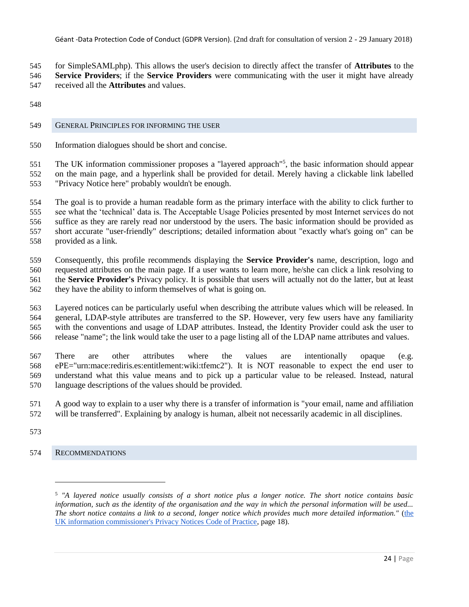for SimpleSAMLphp). This allows the user's decision to directly affect the transfer of **Attributes** to the **Service Providers**; if the **Service Providers** were communicating with the user it might have already received all the **Attributes** and values.

### <span id="page-23-0"></span>GENERAL PRINCIPLES FOR INFORMING THE USER

Information dialogues should be short and concise.

551 The UK information commissioner proposes a "layered approach"<sup>5</sup>, the basic information should appear on the main page, and a hyperlink shall be provided for detail. Merely having a clickable link labelled "Privacy Notice here" probably wouldn't be enough.

 The goal is to provide a human readable form as the primary interface with the ability to click further to see what the 'technical' data is. The Acceptable Usage Policies presented by most Internet services do not suffice as they are rarely read nor understood by the users. The basic information should be provided as short accurate "user-friendly" descriptions; detailed information about "exactly what's going on" can be provided as a link.

 Consequently, this profile recommends displaying the **Service Provider's** name, description, logo and requested attributes on the main page. If a user wants to learn more, he/she can click a link resolving to the **Service Provider's** Privacy policy. It is possible that users will actually not do the latter, but at least they have the ability to inform themselves of what is going on.

 Layered notices can be particularly useful when describing the attribute values which will be released. In general, LDAP-style attributes are transferred to the SP. However, very few users have any familiarity with the conventions and usage of LDAP attributes. Instead, the Identity Provider could ask the user to release "name"; the link would take the user to a page listing all of the LDAP name attributes and values.

 There are other attributes where the values are intentionally opaque (e.g. ePE="urn:mace:rediris.es:entitlement:wiki:tfemc2"). It is NOT reasonable to expect the end user to understand what this value means and to pick up a particular value to be released. Instead, natural language descriptions of the values should be provided.

 A good way to explain to a user why there is a transfer of information is "your email, name and affiliation will be transferred". Explaining by analogy is human, albeit not necessarily academic in all disciplines.

<span id="page-23-1"></span>RECOMMENDATIONS

 $\overline{\phantom{a}}$ 

 *"A layered notice usually consists of a short notice plus a longer notice. The short notice contains basic information, such as the identity of the organisation and the way in which the personal information will be used... The short notice contains a link to a second, longer notice which provides much more detailed information."* [\(the](http://www.ico.gov.uk/for_organisations/data_protection/topic_guides/privacy_notices.aspx)  [UK information commissioner's Privacy Notices Code of Practice,](http://www.ico.gov.uk/for_organisations/data_protection/topic_guides/privacy_notices.aspx) page 18).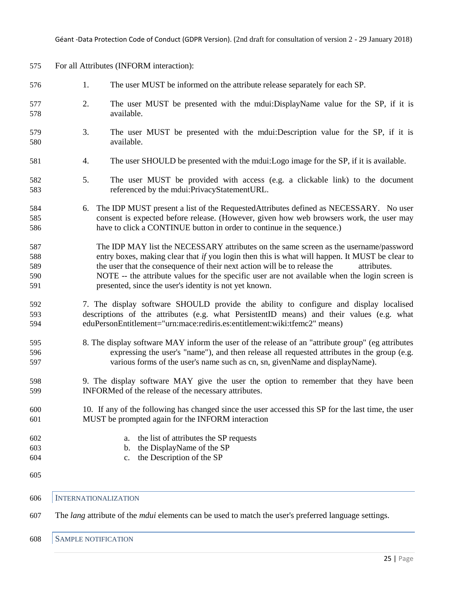| 575 |                             | For all Attributes (INFORM interaction):                                                                           |
|-----|-----------------------------|--------------------------------------------------------------------------------------------------------------------|
| 576 | 1.                          | The user MUST be informed on the attribute release separately for each SP.                                         |
| 577 | 2.                          | The user MUST be presented with the mdui:DisplayName value for the SP, if it is                                    |
| 578 |                             | available.                                                                                                         |
| 579 | 3.                          | The user MUST be presented with the modul: Description value for the SP, if it is                                  |
| 580 |                             | available.                                                                                                         |
| 581 | 4.                          | The user SHOULD be presented with the modies logo image for the SP, if it is available.                            |
| 582 | 5.                          | The user MUST be provided with access (e.g. a clickable link) to the document                                      |
| 583 |                             | referenced by the mdui:PrivacyStatementURL.                                                                        |
| 584 |                             | 6. The IDP MUST present a list of the RequestedAttributes defined as NECESSARY. No user                            |
| 585 |                             | consent is expected before release. (However, given how web browsers work, the user may                            |
| 586 |                             | have to click a CONTINUE button in order to continue in the sequence.)                                             |
| 587 |                             | The IDP MAY list the NECESSARY attributes on the same screen as the username/password                              |
| 588 |                             | entry boxes, making clear that if you login then this is what will happen. It MUST be clear to                     |
| 589 |                             | the user that the consequence of their next action will be to release the<br>attributes.                           |
| 590 |                             | NOTE -- the attribute values for the specific user are not available when the login screen is                      |
| 591 |                             | presented, since the user's identity is not yet known.                                                             |
| 592 |                             | 7. The display software SHOULD provide the ability to configure and display localised                              |
| 593 |                             | descriptions of the attributes (e.g. what PersistentID means) and their values (e.g. what                          |
| 594 |                             | eduPersonEntitlement="urn:mace:rediris.es:entitlement:wiki:tfemc2" means)                                          |
| 595 |                             | 8. The display software MAY inform the user of the release of an "attribute group" (eg attributes                  |
| 596 |                             | expressing the user's "name"), and then release all requested attributes in the group (e.g.                        |
| 597 |                             | various forms of the user's name such as cn, sn, givenName and displayName).                                       |
| 598 |                             | 9. The display software MAY give the user the option to remember that they have been                               |
| 599 |                             | INFORMed of the release of the necessary attributes.                                                               |
| 600 |                             | 10. If any of the following has changed since the user accessed this SP for the last time, the user                |
| 601 |                             | MUST be prompted again for the INFORM interaction                                                                  |
| 602 |                             | the list of attributes the SP requests<br>a.                                                                       |
| 603 |                             | the DisplayName of the SP<br>b.                                                                                    |
| 604 |                             | the Description of the SP<br>c.                                                                                    |
| 605 |                             |                                                                                                                    |
| 606 | <b>INTERNATIONALIZATION</b> |                                                                                                                    |
| 607 |                             | The <i>lang</i> attribute of the <i>mdui</i> elements can be used to match the user's preferred language settings. |

# <span id="page-24-1"></span><span id="page-24-0"></span>SAMPLE NOTIFICATION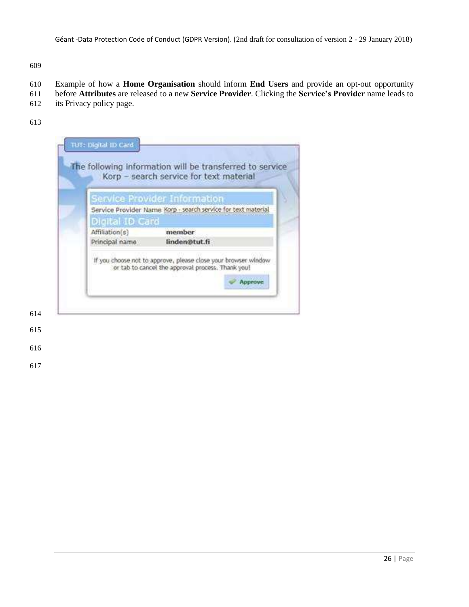Example of how a **Home Organisation** should inform **End Users** and provide an opt-out opportunity

- before **Attributes** are released to a new **Service Provider**. Clicking the **Service's Provider** name leads to
- its Privacy policy page.
- 

|                 | Service Provider Information                                                                                                   |
|-----------------|--------------------------------------------------------------------------------------------------------------------------------|
|                 | Service Provider Name Korp - search service for text material                                                                  |
| Digital ID Card |                                                                                                                                |
| Affiliation(s)  | member                                                                                                                         |
| Principal name  | linden@tut.fi                                                                                                                  |
|                 | If you choose not to approve, please close your browser window<br>or tab to cancel the approval process. Thank you!<br>Approve |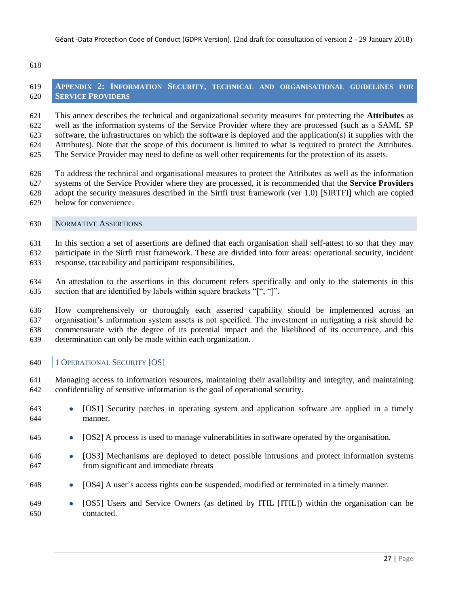<span id="page-26-0"></span> **APPENDIX 2: INFORMATION SECURITY, TECHNICAL AND ORGANISATIONAL GUIDELINES FOR SERVICE PROVIDERS**

 This annex describes the technical and organizational security measures for protecting the **Attributes** as well as the information systems of the Service Provider where they are processed (such as a SAML SP software, the infrastructures on which the software is deployed and the application(s) it supplies with the Attributes). Note that the scope of this document is limited to what is required to protect the Attributes. The Service Provider may need to define as well other requirements for the protection of its assets.

- To address the technical and organisational measures to protect the Attributes as well as the information systems of the Service Provider where they are processed, it is recommended that the **Service Providers** adopt the security measures described in the Sirtfi trust framework (ver 1.0) [SIRTFI] which are copied below for convenience.
- <span id="page-26-1"></span>NORMATIVE ASSERTIONS

 In this section a set of assertions are defined that each organisation shall self-attest to so that they may participate in the Sirtfi trust framework. These are divided into four areas: operational security, incident response, traceability and participant responsibilities.

 An attestation to the assertions in this document refers specifically and only to the statements in this 635 section that are identified by labels within square brackets "[", "]".

 How comprehensively or thoroughly each asserted capability should be implemented across an organisation's information system assets is not specified. The investment in mitigating a risk should be commensurate with the degree of its potential impact and the likelihood of its occurrence, and this determination can only be made within each organization.

- <span id="page-26-2"></span>1 OPERATIONAL SECURITY [OS]
- Managing access to information resources, maintaining their availability and integrity, and maintaining confidentiality of sensitive information is the goal of operational security.
- [OS1] Security patches in operating system and application software are applied in a timely manner.
- [OS2] A process is used to manage vulnerabilities in software operated by the organisation.
- [OS3] Mechanisms are deployed to detect possible intrusions and protect information systems from significant and immediate threats
- [OS4] A user's access rights can be suspended, modified or terminated in a timely manner.
- [OS5] Users and Service Owners (as defined by ITIL [ITIL]) within the organisation can be contacted.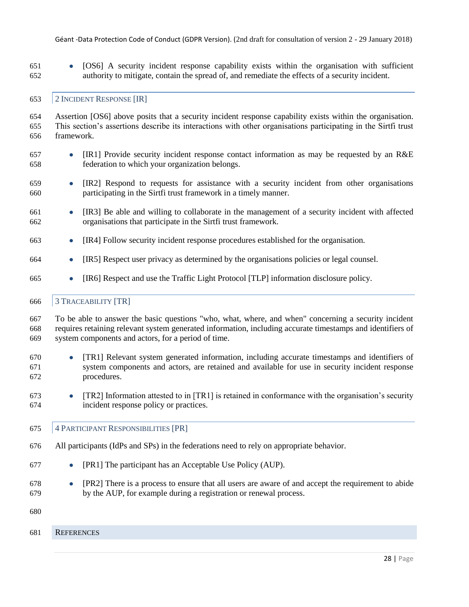● [OS6] A security incident response capability exists within the organisation with sufficient authority to mitigate, contain the spread of, and remediate the effects of a security incident.

### <span id="page-27-0"></span>2 INCIDENT RESPONSE [IR]

 Assertion [OS6] above posits that a security incident response capability exists within the organisation. This section's assertions describe its interactions with other organisations participating in the Sirtfi trust framework.

- [IR1] Provide security incident response contact information as may be requested by an R&E federation to which your organization belongs.
- [IR2] Respond to requests for assistance with a security incident from other organisations participating in the Sirtfi trust framework in a timely manner.
- [IR3] Be able and willing to collaborate in the management of a security incident with affected organisations that participate in the Sirtfi trust framework.
- [IR4] Follow security incident response procedures established for the organisation.
- [IR5] Respect user privacy as determined by the organisations policies or legal counsel.
- [IR6] Respect and use the Traffic Light Protocol [TLP] information disclosure policy.

### <span id="page-27-1"></span>3 TRACEABILITY [TR]

 To be able to answer the basic questions "who, what, where, and when" concerning a security incident requires retaining relevant system generated information, including accurate timestamps and identifiers of system components and actors, for a period of time.

- [TR1] Relevant system generated information, including accurate timestamps and identifiers of system components and actors, are retained and available for use in security incident response procedures.
- 673 **•**  $[TR2]$  Information attested to in  $[TR1]$  is retained in conformance with the organisation's security incident response policy or practices.
- <span id="page-27-2"></span>4 PARTICIPANT RESPONSIBILITIES [PR]
- All participants (IdPs and SPs) in the federations need to rely on appropriate behavior.
- [PR1] The participant has an Acceptable Use Policy (AUP).
- [PR2] There is a process to ensure that all users are aware of and accept the requirement to abide by the AUP, for example during a registration or renewal process.
- 
- <span id="page-27-3"></span>REFERENCES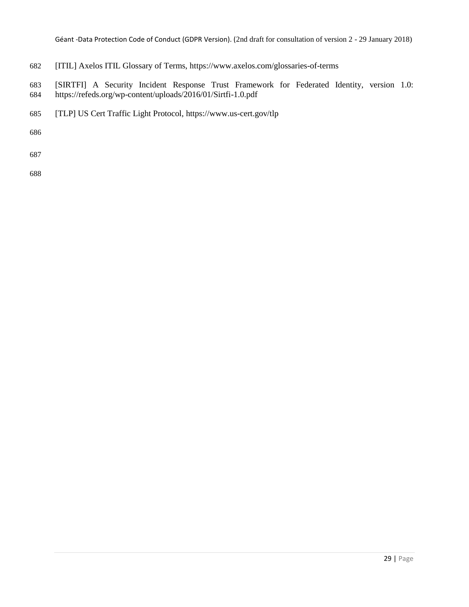- [ITIL] Axelos ITIL Glossary of Terms, <https://www.axelos.com/glossaries-of-terms>
- [SIRTFI] A Security Incident Response Trust Framework for Federated Identity, version 1.0: <https://refeds.org/wp-content/uploads/2016/01/Sirtfi-1.0.pdf>
- [TLP] US Cert Traffic Light Protocol, <https://www.us-cert.gov/tlp>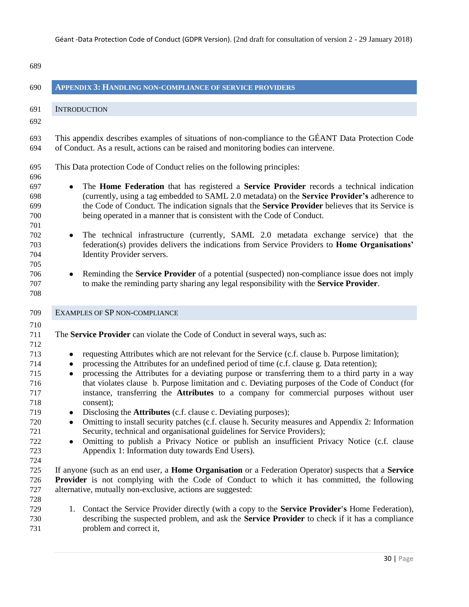<span id="page-29-2"></span><span id="page-29-1"></span><span id="page-29-0"></span>

| 689                                    |                                                                                                                                                                                                                                                                                                                                                                                                                                                                                                                                                               |
|----------------------------------------|---------------------------------------------------------------------------------------------------------------------------------------------------------------------------------------------------------------------------------------------------------------------------------------------------------------------------------------------------------------------------------------------------------------------------------------------------------------------------------------------------------------------------------------------------------------|
| 690                                    | <b>APPENDIX 3: HANDLING NON-COMPLIANCE OF SERVICE PROVIDERS</b>                                                                                                                                                                                                                                                                                                                                                                                                                                                                                               |
| 691                                    | <b>INTRODUCTION</b>                                                                                                                                                                                                                                                                                                                                                                                                                                                                                                                                           |
| 692                                    |                                                                                                                                                                                                                                                                                                                                                                                                                                                                                                                                                               |
| 693<br>694                             | This appendix describes examples of situations of non-compliance to the GÉANT Data Protection Code<br>of Conduct. As a result, actions can be raised and monitoring bodies can intervene.                                                                                                                                                                                                                                                                                                                                                                     |
| 695<br>696                             | This Data protection Code of Conduct relies on the following principles:                                                                                                                                                                                                                                                                                                                                                                                                                                                                                      |
| 697<br>698<br>699<br>700<br>701        | The Home Federation that has registered a Service Provider records a technical indication<br>$\bullet$<br>(currently, using a tag embedded to SAML 2.0 metadata) on the Service Provider's adherence to<br>the Code of Conduct. The indication signals that the Service Provider believes that its Service is<br>being operated in a manner that is consistent with the Code of Conduct.                                                                                                                                                                      |
| 702<br>703<br>704<br>705               | The technical infrastructure (currently, SAML 2.0 metadata exchange service) that the<br>$\bullet$<br>federation(s) provides delivers the indications from Service Providers to <b>Home Organisations'</b><br>Identity Provider servers.                                                                                                                                                                                                                                                                                                                      |
| 706<br>707<br>708                      | Reminding the <b>Service Provider</b> of a potential (suspected) non-compliance issue does not imply<br>$\bullet$<br>to make the reminding party sharing any legal responsibility with the Service Provider.                                                                                                                                                                                                                                                                                                                                                  |
| 709                                    | EXAMPLES OF SP NON-COMPLIANCE                                                                                                                                                                                                                                                                                                                                                                                                                                                                                                                                 |
| 710<br>711<br>712                      | The <b>Service Provider</b> can violate the Code of Conduct in several ways, such as:                                                                                                                                                                                                                                                                                                                                                                                                                                                                         |
| 713<br>714<br>715<br>716<br>717<br>718 | requesting Attributes which are not relevant for the Service (c.f. clause b. Purpose limitation);<br>$\bullet$<br>processing the Attributes for an undefined period of time (c.f. clause g. Data retention);<br>$\bullet$<br>processing the Attributes for a deviating purpose or transferring them to a third party in a way<br>$\bullet$<br>that violates clause b. Purpose limitation and c. Deviating purposes of the Code of Conduct (for<br>instance, transferring the <b>Attributes</b> to a company for commercial purposes without user<br>consent); |
| 719<br>720<br>721<br>722<br>723        | Disclosing the <b>Attributes</b> (c.f. clause c. Deviating purposes);<br>Omitting to install security patches (c.f. clause h. Security measures and Appendix 2: Information<br>$\bullet$<br>Security, technical and organisational guidelines for Service Providers);<br>Omitting to publish a Privacy Notice or publish an insufficient Privacy Notice (c.f. clause<br>$\bullet$<br>Appendix 1: Information duty towards End Users).                                                                                                                         |
| 724<br>725<br>726<br>727               | If anyone (such as an end user, a <b>Home Organisation</b> or a Federation Operator) suspects that a <b>Service</b><br><b>Provider</b> is not complying with the Code of Conduct to which it has committed, the following<br>alternative, mutually non-exclusive, actions are suggested:                                                                                                                                                                                                                                                                      |
| 728<br>729<br>730<br>731               | 1. Contact the Service Provider directly (with a copy to the <b>Service Provider's</b> Home Federation),<br>describing the suspected problem, and ask the <b>Service Provider</b> to check if it has a compliance<br>problem and correct it,                                                                                                                                                                                                                                                                                                                  |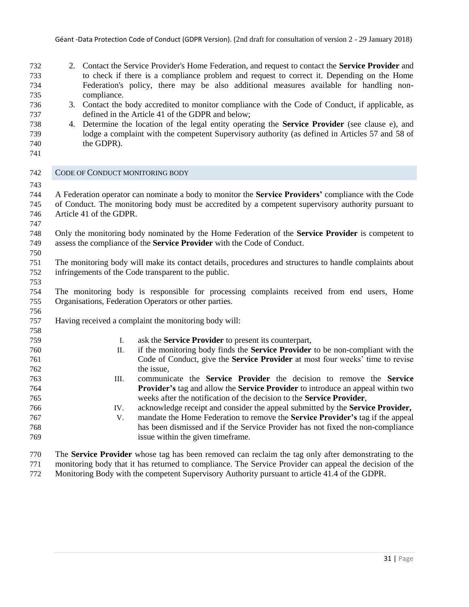- 2. Contact the Service Provider's Home Federation, and request to contact the **Service Provider** and to check if there is a compliance problem and request to correct it. Depending on the Home Federation's policy, there may be also additional measures available for handling non-compliance.
- 3. Contact the body accredited to monitor compliance with the Code of Conduct, if applicable, as defined in the Article 41 of the GDPR and below;
- 4. Determine the location of the legal entity operating the **Service Provider** (see clause e), and lodge a complaint with the competent Supervisory authority (as defined in Articles 57 and 58 of the GDPR).
- <span id="page-30-0"></span>
- CODE OF CONDUCT MONITORING BODY
- 

 A Federation operator can nominate a body to monitor the **Service Providers'** compliance with the Code of Conduct. The monitoring body must be accredited by a competent supervisory authority pursuant to Article 41 of the GDPR.

 Only the monitoring body nominated by the Home Federation of the **Service Provider** is competent to assess the compliance of the **Service Provider** with the Code of Conduct.

 The monitoring body will make its contact details, procedures and structures to handle complaints about infringements of the Code transparent to the public.

 The monitoring body is responsible for processing complaints received from end users, Home Organisations, Federation Operators or other parties.

- Having received a complaint the monitoring body will:
- I. ask the **Service Provider** to present its counterpart, II. if the monitoring body finds the **Service Provider** to be non-compliant with the Code of Conduct, give the **Service Provider** at most four weeks' time to revise the issue, III. communicate the **Service Provider** the decision to remove the **Service Provider's** tag and allow the **Service Provider** to introduce an appeal within two weeks after the notification of the decision to the **Service Provider**,
- IV. acknowledge receipt and consider the appeal submitted by the **Service Provider,** V. mandate the Home Federation to remove the **Service Provider's** tag if the appeal has been dismissed and if the Service Provider has not fixed the non-compliance issue within the given timeframe.
- The **Service Provider** whose tag has been removed can reclaim the tag only after demonstrating to the monitoring body that it has returned to compliance. The Service Provider can appeal the decision of the Monitoring Body with the competent Supervisory Authority pursuant to article 41.4 of the GDPR.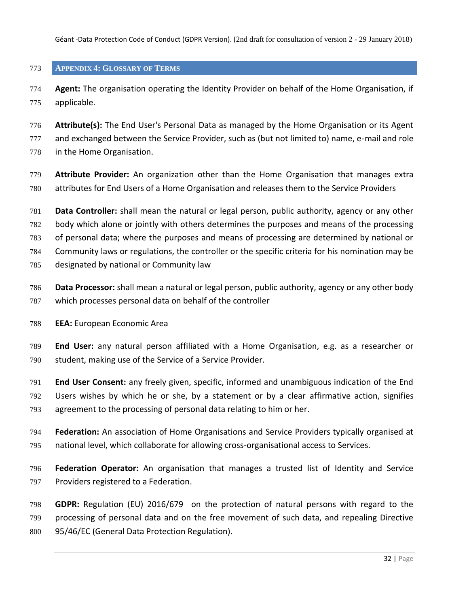Géant -Data Protection Code of Conduct (GDPR Version). (2nd draft for consultation of version 2 - 29 January 2018)

# <span id="page-31-0"></span>**APPENDIX 4: GLOSSARY OF TERMS**

 **Agent:** The organisation operating the Identity Provider on behalf of the Home Organisation, if applicable.

 **Attribute(s):** The End User's Personal Data as managed by the Home Organisation or its Agent 777 and exchanged between the Service Provider, such as (but not limited to) name, e-mail and role in the Home Organisation.

- **Attribute Provider:** An organization other than the Home Organisation that manages extra attributes for End Users of a Home Organisation and releases them to the Service Providers
- **Data Controller:** shall mean the natural or legal person, public authority, agency or any other
- body which alone or jointly with others determines the purposes and means of the processing
- of personal data; where the purposes and means of processing are determined by national or
- Community laws or regulations, the controller or the specific criteria for his nomination may be
- designated by national or Community law
- **Data Processor:** shall mean a natural or legal person, public authority, agency or any other body which processes personal data on behalf of the controller
- **EEA:** European Economic Area
- **End User:** any natural person affiliated with a Home Organisation, e.g. as a researcher or student, making use of the Service of a Service Provider.
- **End User Consent:** any freely given, specific, informed and unambiguous indication of the End Users wishes by which he or she, by a statement or by a clear affirmative action, signifies agreement to the processing of personal data relating to him or her.
- **Federation:** An association of Home Organisations and Service Providers typically organised at national level, which collaborate for allowing cross-organisational access to Services.
- **Federation Operator:** An organisation that manages a trusted list of Identity and Service Providers registered to a Federation.
- **GDPR:** Regulation (EU) 2016/679 on the protection of natural persons with regard to the processing of personal data and on the free movement of such data, and repealing Directive 95/46/EC (General Data Protection Regulation).